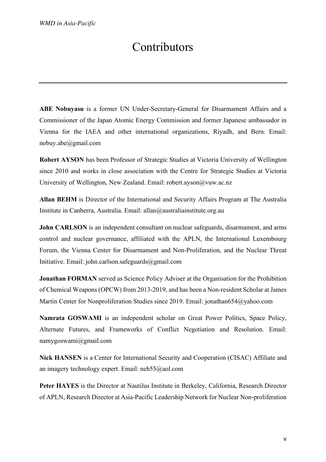## Contributors

**ABE Nobuyasu** is a former UN Under-Secretary-General for Disarmament Affairs and a Commissioner of the Japan Atomic Energy Commission and former Japanese ambassador in Vienna for the IAEA and other international organizations, Riyadh, and Bern. Email: nobuy.abe@gmail.com

**Robert AYSON** has been Professor of Strategic Studies at Victoria University of Wellington since 2010 and works in close association with the Centre for Strategic Studies at Victoria University of Wellington, New Zealand. Email: robert.ayson@vuw.ac.nz

**Allan BEHM** is Director of the International and Security Affairs Program at The Australia Institute in Canberra, Australia. Email: allan@australiainstitute.org.au

**John CARLSON** is an independent consultant on nuclear safeguards, disarmament, and arms control and nuclear governance, affiliated with the APLN, the International Luxembourg Forum, the Vienna Center for Disarmament and Non-Proliferation, and the Nuclear Threat Initiative. Email: john.carlson.safeguards@gmail.com

**Jonathan FORMAN** served as Science Policy Adviser at the Organisation for the Prohibition of Chemical Weapons (OPCW) from 2013-2019, and has been a Non-resident Scholar at James Martin Center for Nonproliferation Studies since 2019. Email: jonathan654@yahoo.com

**Namrata GOSWAMI** is an independent scholar on Great Power Politics, Space Policy, Alternate Futures, and Frameworks of Conflict Negotiation and Resolution. Email: namygoswami@gmail.com

**Nick HANSEN** is a Center for International Security and Cooperation (CISAC) Affiliate and an imagery technology expert. Email: neh55@aol.com

**Peter HAYES** is the Director at Nautilus Institute in Berkeley, California, Research Director of APLN, Research Director at Asia-Pacific Leadership Network for Nuclear Non-proliferation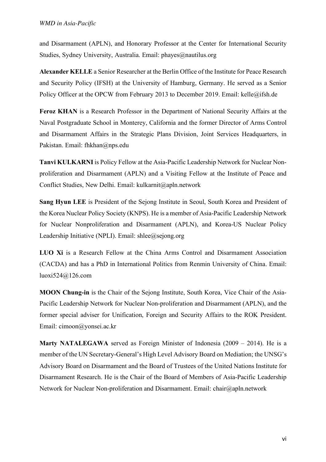and Disarmament (APLN), and Honorary Professor at the Center for International Security Studies, Sydney University, Australia. Email: phayes@nautilus.org

**Alexander KELLE** a Senior Researcher at the Berlin Office of the Institute for Peace Research and Security Policy (IFSH) at the University of Hamburg, Germany. He served as a Senior Policy Officer at the OPCW from February 2013 to December 2019. Email: kelle@ifsh.de

**Feroz KHAN** is a Research Professor in the Department of National Security Affairs at the Naval Postgraduate School in Monterey, California and the former Director of Arms Control and Disarmament Affairs in the Strategic Plans Division, Joint Services Headquarters, in Pakistan. Email: fhkhan@nps.edu

**Tanvi KULKARNI**is Policy Fellow at the Asia-Pacific Leadership Network for Nuclear Nonproliferation and Disarmament (APLN) and a Visiting Fellow at the Institute of Peace and Conflict Studies, New Delhi. Email: kulkarnit@apln.network

**Sang Hyun LEE** is President of the Sejong Institute in Seoul, South Korea and President of the Korea Nuclear Policy Society (KNPS). He is a member of Asia-Pacific Leadership Network for Nuclear Nonproliferation and Disarmament (APLN), and Korea-US Nuclear Policy Leadership Initiative (NPLI). Email: shlee@sejong.org

**LUO Xi** is a Research Fellow at the China Arms Control and Disarmament Association (CACDA) and has a PhD in International Politics from Renmin University of China. Email: luoxi524@126.com

**MOON Chung-in** is the Chair of the Sejong Institute, South Korea, Vice Chair of the Asia-Pacific Leadership Network for Nuclear Non-proliferation and Disarmament (APLN), and the former special adviser for Unification, Foreign and Security Affairs to the ROK President. Email: cimoon@yonsei.ac.kr

**Marty NATALEGAWA** served as Foreign Minister of Indonesia (2009 – 2014). He is a member of the UN Secretary-General's High Level Advisory Board on Mediation; the UNSG's Advisory Board on Disarmament and the Board of Trustees of the United Nations Institute for Disarmament Research. He is the Chair of the Board of Members of Asia-Pacific Leadership Network for Nuclear Non-proliferation and Disarmament. Email: chair@apln.network